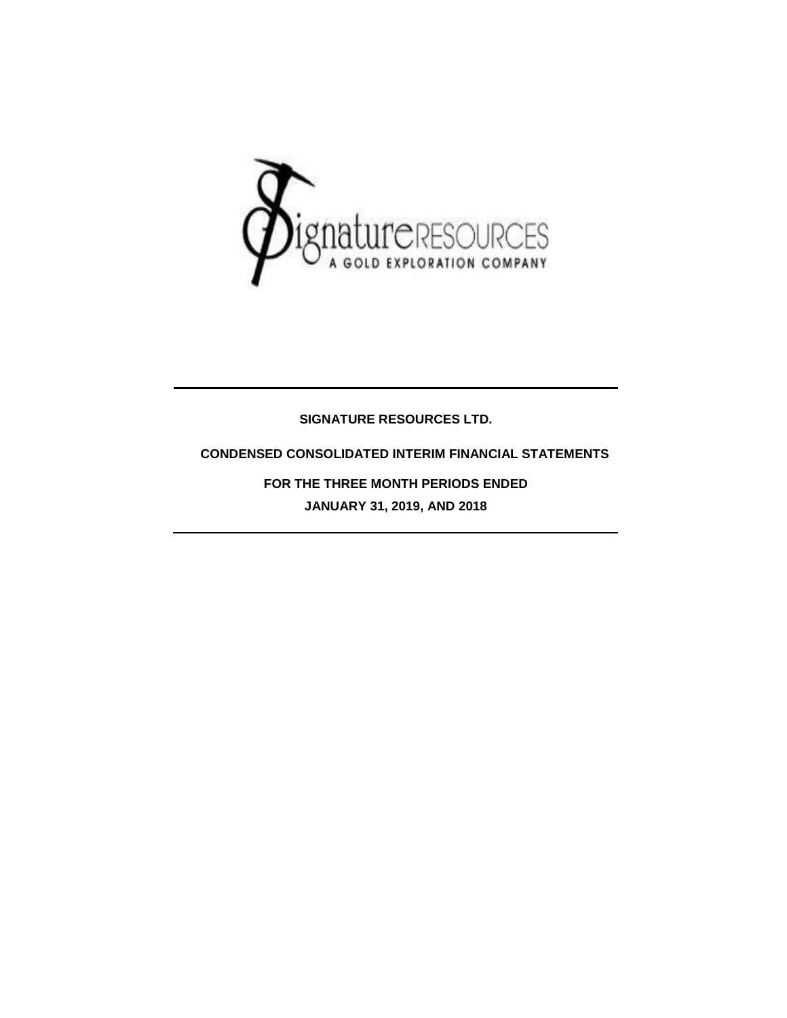

## **SIGNATURE RESOURCES LTD.**

## **CONDENSED CONSOLIDATED INTERIM FINANCIAL STATEMENTS**

**FOR THE THREE MONTH PERIODS ENDED JANUARY 31, 2019, AND 2018**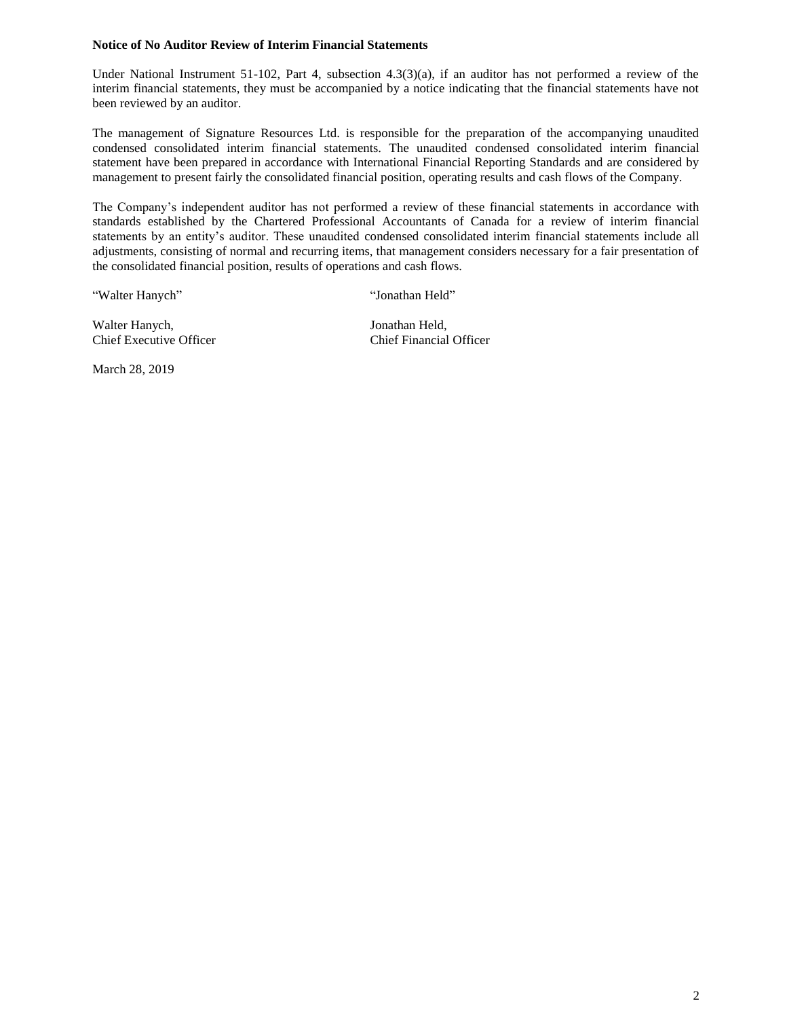### **Notice of No Auditor Review of Interim Financial Statements**

Under National Instrument 51-102, Part 4, subsection 4.3(3)(a), if an auditor has not performed a review of the interim financial statements, they must be accompanied by a notice indicating that the financial statements have not been reviewed by an auditor.

The management of Signature Resources Ltd. is responsible for the preparation of the accompanying unaudited condensed consolidated interim financial statements. The unaudited condensed consolidated interim financial statement have been prepared in accordance with International Financial Reporting Standards and are considered by management to present fairly the consolidated financial position, operating results and cash flows of the Company.

The Company's independent auditor has not performed a review of these financial statements in accordance with standards established by the Chartered Professional Accountants of Canada for a review of interim financial statements by an entity's auditor. These unaudited condensed consolidated interim financial statements include all adjustments, consisting of normal and recurring items, that management considers necessary for a fair presentation of the consolidated financial position, results of operations and cash flows.

"Walter Hanych" "Jonathan Held"

Walter Hanych, Jonathan Held, Chief Executive Officer Chief Financial Officer

March 28, 2019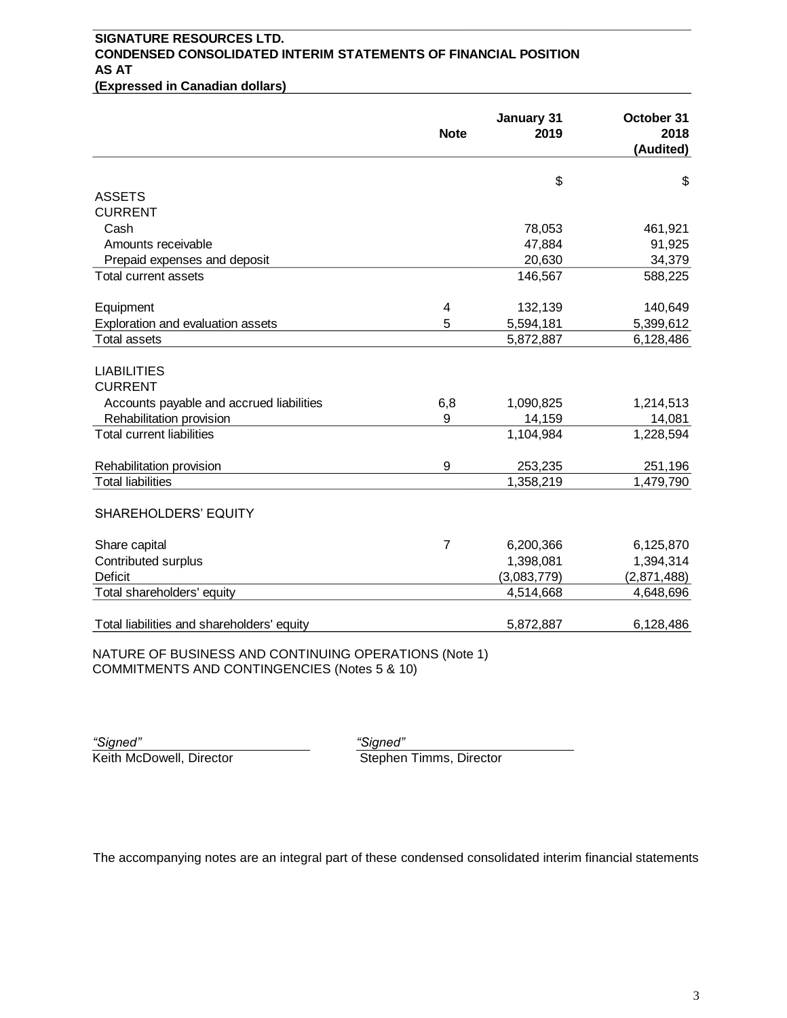## **SIGNATURE RESOURCES LTD. CONDENSED CONSOLIDATED INTERIM STATEMENTS OF FINANCIAL POSITION AS AT (Expressed in Canadian dollars)**

|                                            | <b>Note</b>    | January 31<br>2019 | October 31<br>2018<br>(Audited) |
|--------------------------------------------|----------------|--------------------|---------------------------------|
|                                            |                | \$                 | \$                              |
| <b>ASSETS</b>                              |                |                    |                                 |
| <b>CURRENT</b>                             |                |                    |                                 |
| Cash                                       |                | 78,053             | 461,921                         |
| Amounts receivable                         |                | 47,884             | 91,925                          |
| Prepaid expenses and deposit               |                | 20,630             | 34,379                          |
| Total current assets                       |                | 146,567            | 588,225                         |
| Equipment                                  | 4              | 132,139            | 140,649                         |
| Exploration and evaluation assets          | 5              | 5,594,181          | 5,399,612                       |
| <b>Total assets</b>                        |                | 5,872,887          | 6,128,486                       |
| <b>LIABILITIES</b><br><b>CURRENT</b>       |                |                    |                                 |
| Accounts payable and accrued liabilities   | 6,8            | 1,090,825          | 1,214,513                       |
| Rehabilitation provision                   | 9              | 14,159             | 14,081                          |
| <b>Total current liabilities</b>           |                | 1,104,984          | 1,228,594                       |
| Rehabilitation provision                   | 9              | 253,235            | 251,196                         |
| <b>Total liabilities</b>                   |                | 1,358,219          | 1,479,790                       |
| SHAREHOLDERS' EQUITY                       |                |                    |                                 |
| Share capital                              | $\overline{7}$ | 6,200,366          | 6,125,870                       |
| Contributed surplus                        |                | 1,398,081          | 1,394,314                       |
| <b>Deficit</b>                             |                | (3,083,779)        | (2,871,488)                     |
| Total shareholders' equity                 |                | 4,514,668          | 4,648,696                       |
| Total liabilities and shareholders' equity |                | 5,872,887          | 6,128,486                       |

NATURE OF BUSINESS AND CONTINUING OPERATIONS (Note 1) COMMITMENTS AND CONTINGENCIES (Notes 5 & 10)

*"Signed" "Signed"*

Stephen Timms, Director

The accompanying notes are an integral part of these condensed consolidated interim financial statements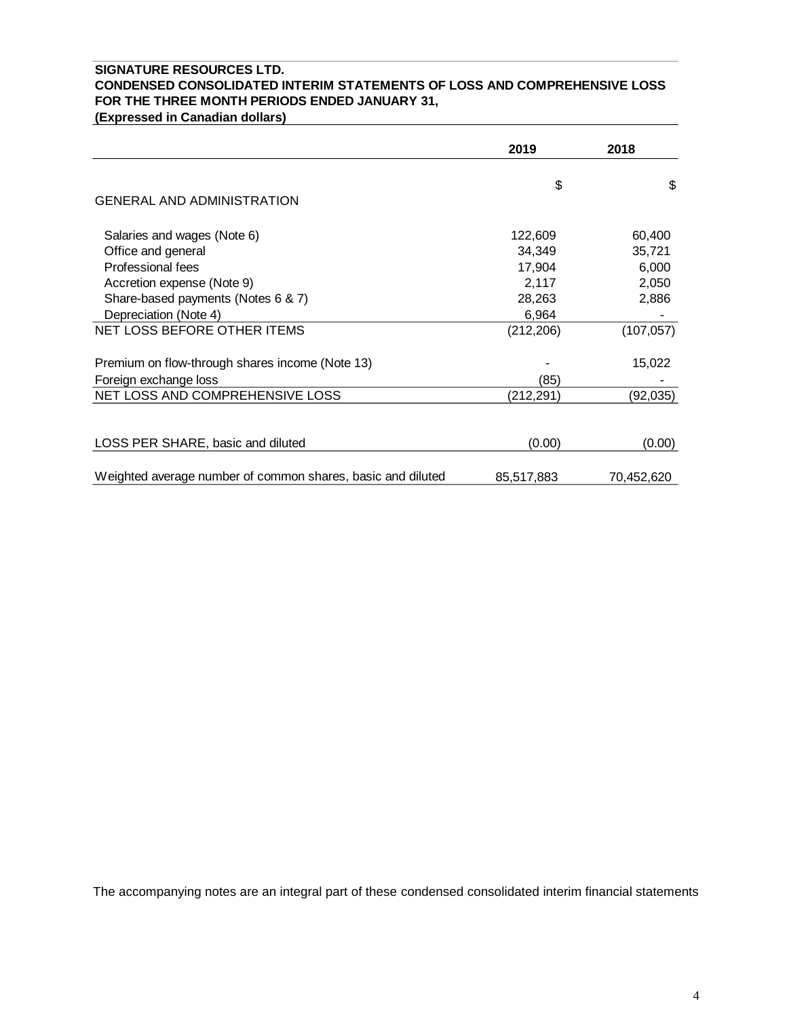## **SIGNATURE RESOURCES LTD. CONDENSED CONSOLIDATED INTERIM STATEMENTS OF LOSS AND COMPREHENSIVE LOSS FOR THE THREE MONTH PERIODS ENDED JANUARY 31,**

**(Expressed in Canadian dollars)**

|                                                             | 2019       | 2018       |
|-------------------------------------------------------------|------------|------------|
| <b>GENERAL AND ADMINISTRATION</b>                           | \$         | \$         |
|                                                             |            |            |
| Salaries and wages (Note 6)                                 | 122,609    | 60,400     |
| Office and general                                          | 34,349     | 35,721     |
| Professional fees                                           | 17,904     | 6,000      |
| Accretion expense (Note 9)                                  | 2,117      | 2,050      |
| Share-based payments (Notes 6 & 7)                          | 28,263     | 2,886      |
| Depreciation (Note 4)                                       | 6,964      |            |
| NET LOSS BEFORE OTHER ITEMS                                 | (212, 206) | (107, 057) |
| Premium on flow-through shares income (Note 13)             |            | 15,022     |
| Foreign exchange loss                                       | (85)       |            |
| NET LOSS AND COMPREHENSIVE LOSS                             | (212, 291) | (92, 035)  |
|                                                             |            |            |
| LOSS PER SHARE, basic and diluted                           | (0.00)     | (0.00)     |
| Weighted average number of common shares, basic and diluted | 85,517,883 | 70,452,620 |

The accompanying notes are an integral part of these condensed consolidated interim financial statements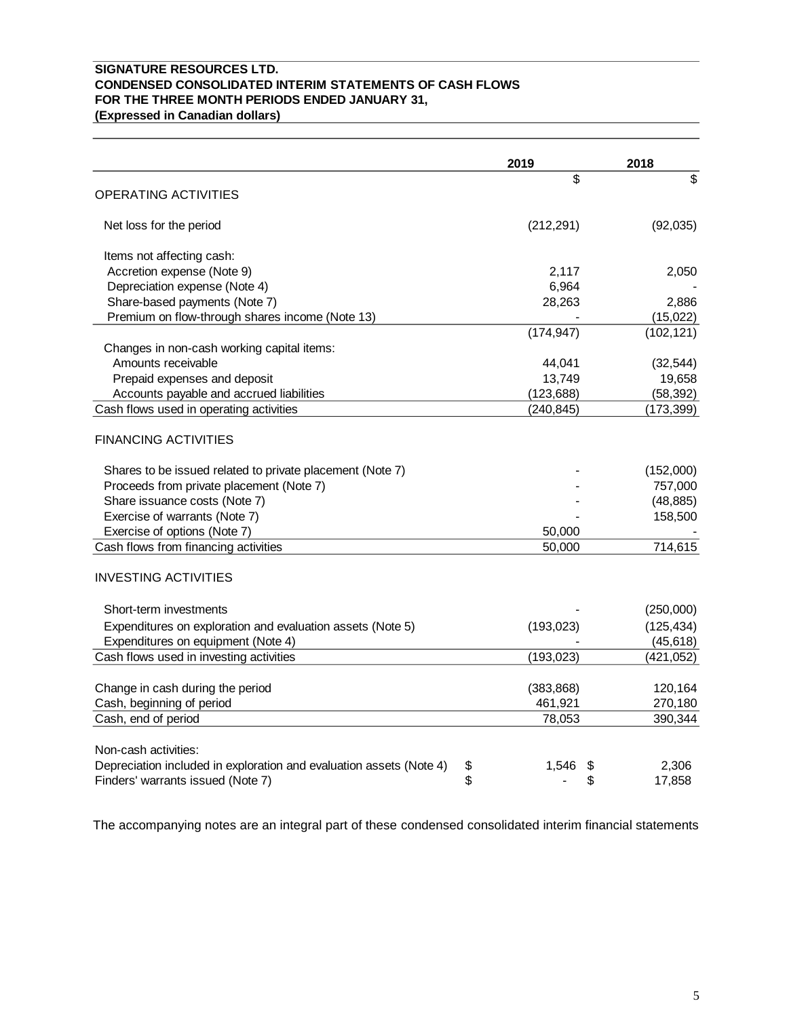## **SIGNATURE RESOURCES LTD. CONDENSED CONSOLIDATED INTERIM STATEMENTS OF CASH FLOWS FOR THE THREE MONTH PERIODS ENDED JANUARY 31, (Expressed in Canadian dollars)**

|                                                           | 2019       | 2018       |
|-----------------------------------------------------------|------------|------------|
|                                                           | \$         | \$         |
| <b>OPERATING ACTIVITIES</b>                               |            |            |
| Net loss for the period                                   | (212, 291) | (92,035)   |
| Items not affecting cash:                                 |            |            |
| Accretion expense (Note 9)                                | 2,117      | 2,050      |
| Depreciation expense (Note 4)                             | 6,964      |            |
| Share-based payments (Note 7)                             | 28,263     | 2,886      |
| Premium on flow-through shares income (Note 13)           |            | (15,022)   |
|                                                           | (174, 947) | (102, 121) |
| Changes in non-cash working capital items:                |            |            |
| Amounts receivable                                        | 44,041     | (32, 544)  |
| Prepaid expenses and deposit                              | 13,749     | 19,658     |
| Accounts payable and accrued liabilities                  | (123,688)  | (58, 392)  |
| Cash flows used in operating activities                   | (240,845)  | (173,399)  |
| <b>FINANCING ACTIVITIES</b>                               |            |            |
| Shares to be issued related to private placement (Note 7) |            | (152,000)  |
| Proceeds from private placement (Note 7)                  |            | 757,000    |
| Share issuance costs (Note 7)                             |            | (48, 885)  |
| Exercise of warrants (Note 7)                             |            | 158,500    |
| Exercise of options (Note 7)                              | 50,000     |            |
| Cash flows from financing activities                      | 50,000     | 714,615    |

## INVESTING ACTIVITIES

| Short-term investments                                              |                | (250,000)  |
|---------------------------------------------------------------------|----------------|------------|
| Expenditures on exploration and evaluation assets (Note 5)          | (193, 023)     | (125, 434) |
| Expenditures on equipment (Note 4)                                  |                | (45, 618)  |
| Cash flows used in investing activities                             | (193,023)      | (421,052)  |
| Change in cash during the period                                    | (383, 868)     | 120,164    |
| Cash, beginning of period                                           | 461,921        | 270,180    |
| Cash, end of period                                                 | 78,053         | 390,344    |
| Non-cash activities:                                                |                |            |
| Depreciation included in exploration and evaluation assets (Note 4) | \$<br>1,546 \$ | 2,306      |
| Finders' warrants issued (Note 7)                                   | \$             | 17,858     |

The accompanying notes are an integral part of these condensed consolidated interim financial statements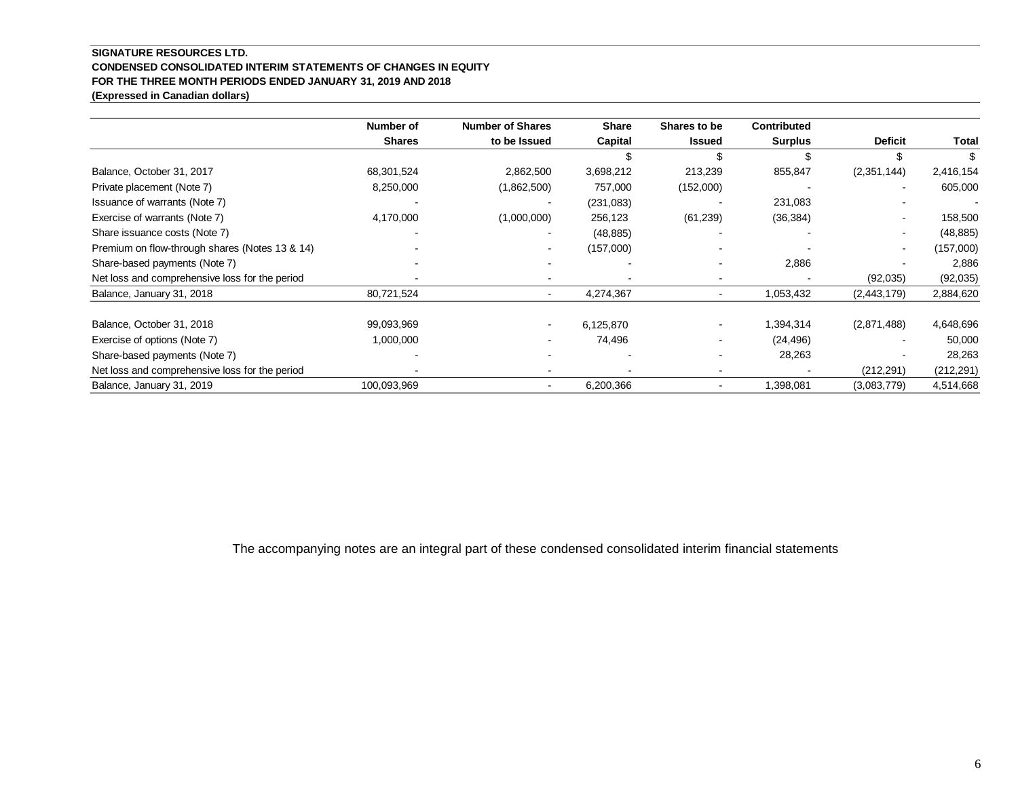### **SIGNATURE RESOURCES LTD. CONDENSED CONSOLIDATED INTERIM STATEMENTS OF CHANGES IN EQUITY FOR THE THREE MONTH PERIODS ENDED JANUARY 31, 2019 AND 2018 (Expressed in Canadian dollars)**

|                                                | Number of     | <b>Number of Shares</b> | <b>Share</b> | Shares to be  | <b>Contributed</b> |                |            |
|------------------------------------------------|---------------|-------------------------|--------------|---------------|--------------------|----------------|------------|
|                                                | <b>Shares</b> | to be Issued            | Capital      | <b>Issued</b> | <b>Surplus</b>     | <b>Deficit</b> | Total      |
|                                                |               |                         |              |               | \$.                |                | \$         |
| Balance, October 31, 2017                      | 68,301,524    | 2,862,500               | 3,698,212    | 213,239       | 855,847            | (2,351,144)    | 2,416,154  |
| Private placement (Note 7)                     | 8,250,000     | (1,862,500)             | 757,000      | (152,000)     |                    | $\sim$         | 605,000    |
| Issuance of warrants (Note 7)                  |               |                         | (231,083)    |               | 231,083            |                |            |
| Exercise of warrants (Note 7)                  | 4,170,000     | (1,000,000)             | 256,123      | (61, 239)     | (36, 384)          | $\sim$         | 158,500    |
| Share issuance costs (Note 7)                  |               |                         | (48, 885)    |               |                    | $\blacksquare$ | (48, 885)  |
| Premium on flow-through shares (Notes 13 & 14) |               |                         | (157,000)    |               |                    | $\sim$         | (157,000)  |
| Share-based payments (Note 7)                  |               |                         |              |               | 2,886              |                | 2,886      |
| Net loss and comprehensive loss for the period |               |                         |              |               |                    | (92,035)       | (92,035)   |
| Balance, January 31, 2018                      | 80,721,524    |                         | 4,274,367    | ۰             | 1,053,432          | (2,443,179)    | 2,884,620  |
| Balance, October 31, 2018                      | 99,093,969    |                         | 6,125,870    |               | 1,394,314          | (2,871,488)    | 4,648,696  |
| Exercise of options (Note 7)                   | 1,000,000     |                         | 74,496       |               | (24, 496)          |                | 50,000     |
| Share-based payments (Note 7)                  |               |                         |              |               | 28,263             |                | 28,263     |
| Net loss and comprehensive loss for the period |               |                         |              |               |                    | (212, 291)     | (212, 291) |
| Balance, January 31, 2019                      | 100,093,969   |                         | 6,200,366    |               | 1,398,081          | (3,083,779)    | 4,514,668  |

The accompanying notes are an integral part of these condensed consolidated interim financial statements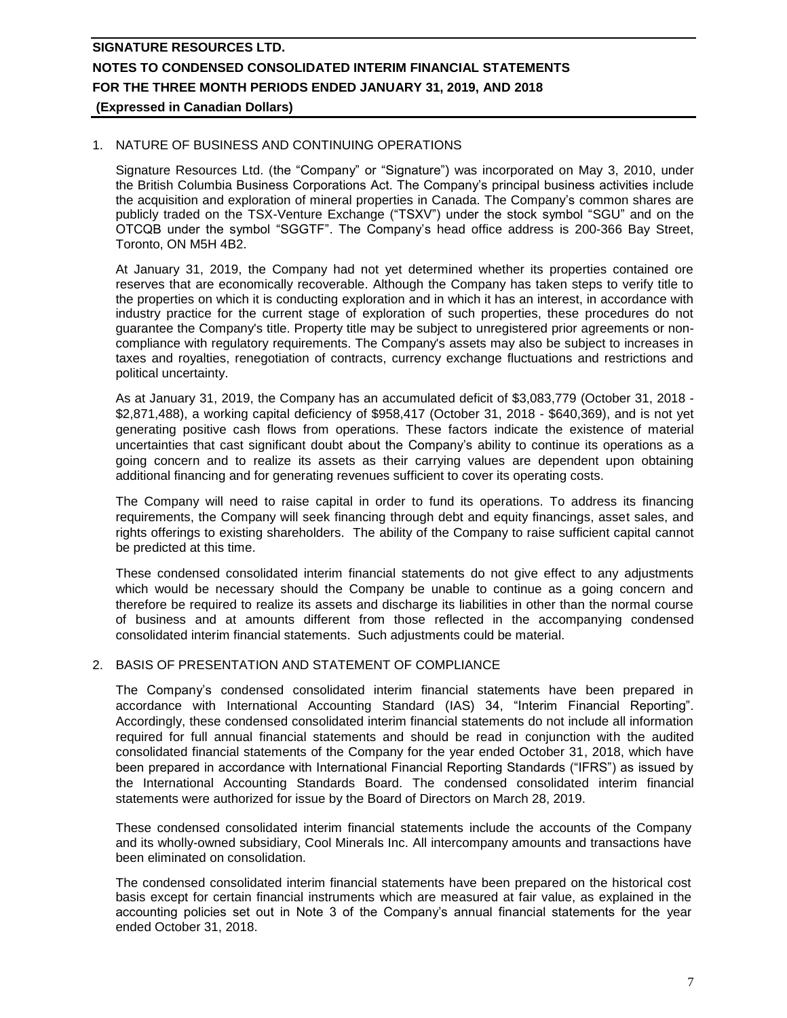### 1. NATURE OF BUSINESS AND CONTINUING OPERATIONS

Signature Resources Ltd. (the "Company" or "Signature") was incorporated on May 3, 2010, under the British Columbia Business Corporations Act. The Company's principal business activities include the acquisition and exploration of mineral properties in Canada. The Company's common shares are publicly traded on the TSX-Venture Exchange ("TSXV") under the stock symbol "SGU" and on the OTCQB under the symbol "SGGTF". The Company's head office address is 200-366 Bay Street, Toronto, ON M5H 4B2.

At January 31, 2019, the Company had not yet determined whether its properties contained ore reserves that are economically recoverable. Although the Company has taken steps to verify title to the properties on which it is conducting exploration and in which it has an interest, in accordance with industry practice for the current stage of exploration of such properties, these procedures do not guarantee the Company's title. Property title may be subject to unregistered prior agreements or noncompliance with regulatory requirements. The Company's assets may also be subject to increases in taxes and royalties, renegotiation of contracts, currency exchange fluctuations and restrictions and political uncertainty.

As at January 31, 2019, the Company has an accumulated deficit of \$3,083,779 (October 31, 2018 - \$2,871,488), a working capital deficiency of \$958,417 (October 31, 2018 - \$640,369), and is not yet generating positive cash flows from operations. These factors indicate the existence of material uncertainties that cast significant doubt about the Company's ability to continue its operations as a going concern and to realize its assets as their carrying values are dependent upon obtaining additional financing and for generating revenues sufficient to cover its operating costs.

The Company will need to raise capital in order to fund its operations. To address its financing requirements, the Company will seek financing through debt and equity financings, asset sales, and rights offerings to existing shareholders. The ability of the Company to raise sufficient capital cannot be predicted at this time.

These condensed consolidated interim financial statements do not give effect to any adjustments which would be necessary should the Company be unable to continue as a going concern and therefore be required to realize its assets and discharge its liabilities in other than the normal course of business and at amounts different from those reflected in the accompanying condensed consolidated interim financial statements. Such adjustments could be material.

## 2. BASIS OF PRESENTATION AND STATEMENT OF COMPLIANCE

The Company's condensed consolidated interim financial statements have been prepared in accordance with International Accounting Standard (IAS) 34, "Interim Financial Reporting". Accordingly, these condensed consolidated interim financial statements do not include all information required for full annual financial statements and should be read in conjunction with the audited consolidated financial statements of the Company for the year ended October 31, 2018, which have been prepared in accordance with International Financial Reporting Standards ("IFRS") as issued by the International Accounting Standards Board. The condensed consolidated interim financial statements were authorized for issue by the Board of Directors on March 28, 2019.

These condensed consolidated interim financial statements include the accounts of the Company and its wholly-owned subsidiary, Cool Minerals Inc. All intercompany amounts and transactions have been eliminated on consolidation.

The condensed consolidated interim financial statements have been prepared on the historical cost basis except for certain financial instruments which are measured at fair value, as explained in the accounting policies set out in Note 3 of the Company's annual financial statements for the year ended October 31, 2018.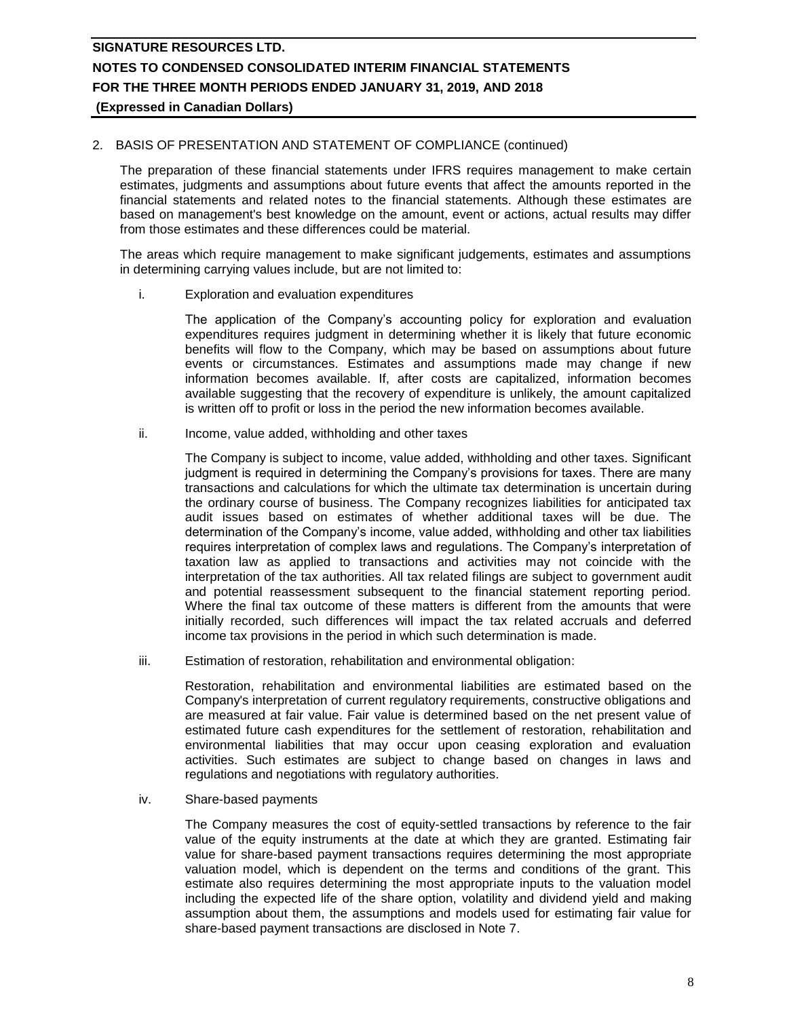## 2. BASIS OF PRESENTATION AND STATEMENT OF COMPLIANCE (continued)

The preparation of these financial statements under IFRS requires management to make certain estimates, judgments and assumptions about future events that affect the amounts reported in the financial statements and related notes to the financial statements. Although these estimates are based on management's best knowledge on the amount, event or actions, actual results may differ from those estimates and these differences could be material.

The areas which require management to make significant judgements, estimates and assumptions in determining carrying values include, but are not limited to:

i. Exploration and evaluation expenditures

The application of the Company's accounting policy for exploration and evaluation expenditures requires judgment in determining whether it is likely that future economic benefits will flow to the Company, which may be based on assumptions about future events or circumstances. Estimates and assumptions made may change if new information becomes available. If, after costs are capitalized, information becomes available suggesting that the recovery of expenditure is unlikely, the amount capitalized is written off to profit or loss in the period the new information becomes available.

ii. Income, value added, withholding and other taxes

The Company is subject to income, value added, withholding and other taxes. Significant judgment is required in determining the Company's provisions for taxes. There are many transactions and calculations for which the ultimate tax determination is uncertain during the ordinary course of business. The Company recognizes liabilities for anticipated tax audit issues based on estimates of whether additional taxes will be due. The determination of the Company's income, value added, withholding and other tax liabilities requires interpretation of complex laws and regulations. The Company's interpretation of taxation law as applied to transactions and activities may not coincide with the interpretation of the tax authorities. All tax related filings are subject to government audit and potential reassessment subsequent to the financial statement reporting period. Where the final tax outcome of these matters is different from the amounts that were initially recorded, such differences will impact the tax related accruals and deferred income tax provisions in the period in which such determination is made.

iii. Estimation of restoration, rehabilitation and environmental obligation:

Restoration, rehabilitation and environmental liabilities are estimated based on the Company's interpretation of current regulatory requirements, constructive obligations and are measured at fair value. Fair value is determined based on the net present value of estimated future cash expenditures for the settlement of restoration, rehabilitation and environmental liabilities that may occur upon ceasing exploration and evaluation activities. Such estimates are subject to change based on changes in laws and regulations and negotiations with regulatory authorities.

iv. Share-based payments

The Company measures the cost of equity-settled transactions by reference to the fair value of the equity instruments at the date at which they are granted. Estimating fair value for share-based payment transactions requires determining the most appropriate valuation model, which is dependent on the terms and conditions of the grant. This estimate also requires determining the most appropriate inputs to the valuation model including the expected life of the share option, volatility and dividend yield and making assumption about them, the assumptions and models used for estimating fair value for share-based payment transactions are disclosed in Note 7.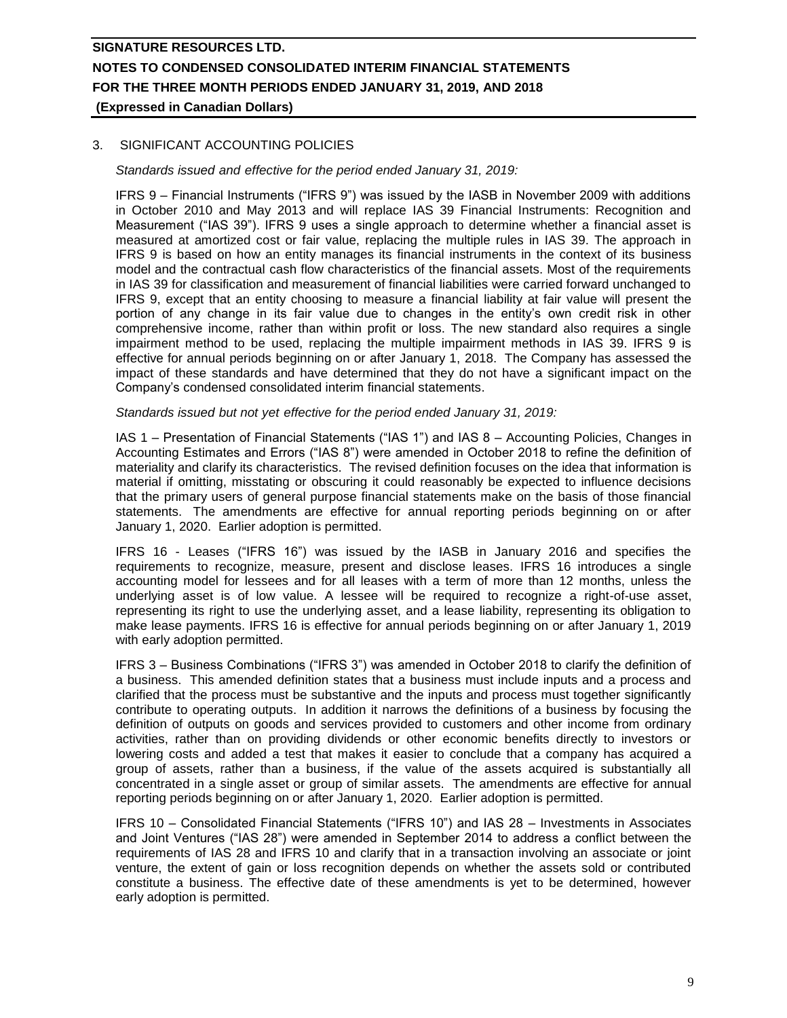## 3. SIGNIFICANT ACCOUNTING POLICIES

*Standards issued and effective for the period ended January 31, 2019:*

IFRS 9 – Financial Instruments ("IFRS 9") was issued by the IASB in November 2009 with additions in October 2010 and May 2013 and will replace IAS 39 Financial Instruments: Recognition and Measurement ("IAS 39"). IFRS 9 uses a single approach to determine whether a financial asset is measured at amortized cost or fair value, replacing the multiple rules in IAS 39. The approach in IFRS 9 is based on how an entity manages its financial instruments in the context of its business model and the contractual cash flow characteristics of the financial assets. Most of the requirements in IAS 39 for classification and measurement of financial liabilities were carried forward unchanged to IFRS 9, except that an entity choosing to measure a financial liability at fair value will present the portion of any change in its fair value due to changes in the entity's own credit risk in other comprehensive income, rather than within profit or loss. The new standard also requires a single impairment method to be used, replacing the multiple impairment methods in IAS 39. IFRS 9 is effective for annual periods beginning on or after January 1, 2018. The Company has assessed the impact of these standards and have determined that they do not have a significant impact on the Company's condensed consolidated interim financial statements.

### *Standards issued but not yet effective for the period ended January 31, 2019:*

IAS 1 – Presentation of Financial Statements ("IAS 1") and IAS 8 – Accounting Policies, Changes in Accounting Estimates and Errors ("IAS 8") were amended in October 2018 to refine the definition of materiality and clarify its characteristics. The revised definition focuses on the idea that information is material if omitting, misstating or obscuring it could reasonably be expected to influence decisions that the primary users of general purpose financial statements make on the basis of those financial statements. The amendments are effective for annual reporting periods beginning on or after January 1, 2020. Earlier adoption is permitted.

IFRS 16 - Leases ("IFRS 16") was issued by the IASB in January 2016 and specifies the requirements to recognize, measure, present and disclose leases. IFRS 16 introduces a single accounting model for lessees and for all leases with a term of more than 12 months, unless the underlying asset is of low value. A lessee will be required to recognize a right-of-use asset, representing its right to use the underlying asset, and a lease liability, representing its obligation to make lease payments. IFRS 16 is effective for annual periods beginning on or after January 1, 2019 with early adoption permitted.

IFRS 3 – Business Combinations ("IFRS 3") was amended in October 2018 to clarify the definition of a business. This amended definition states that a business must include inputs and a process and clarified that the process must be substantive and the inputs and process must together significantly contribute to operating outputs. In addition it narrows the definitions of a business by focusing the definition of outputs on goods and services provided to customers and other income from ordinary activities, rather than on providing dividends or other economic benefits directly to investors or lowering costs and added a test that makes it easier to conclude that a company has acquired a group of assets, rather than a business, if the value of the assets acquired is substantially all concentrated in a single asset or group of similar assets. The amendments are effective for annual reporting periods beginning on or after January 1, 2020. Earlier adoption is permitted.

IFRS 10 – Consolidated Financial Statements ("IFRS 10") and IAS 28 – Investments in Associates and Joint Ventures ("IAS 28") were amended in September 2014 to address a conflict between the requirements of IAS 28 and IFRS 10 and clarify that in a transaction involving an associate or joint venture, the extent of gain or loss recognition depends on whether the assets sold or contributed constitute a business. The effective date of these amendments is yet to be determined, however early adoption is permitted.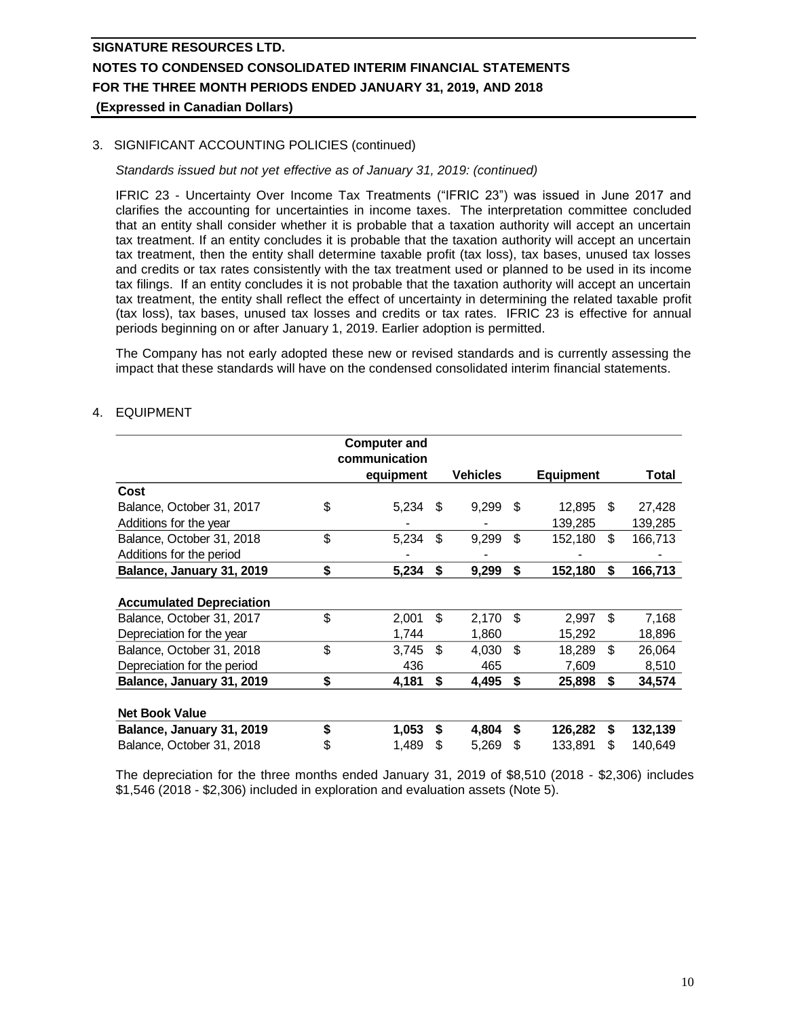## 3. SIGNIFICANT ACCOUNTING POLICIES (continued)

### *Standards issued but not yet effective as of January 31, 2019: (continued)*

IFRIC 23 - Uncertainty Over Income Tax Treatments ("IFRIC 23") was issued in June 2017 and clarifies the accounting for uncertainties in income taxes. The interpretation committee concluded that an entity shall consider whether it is probable that a taxation authority will accept an uncertain tax treatment. If an entity concludes it is probable that the taxation authority will accept an uncertain tax treatment, then the entity shall determine taxable profit (tax loss), tax bases, unused tax losses and credits or tax rates consistently with the tax treatment used or planned to be used in its income tax filings. If an entity concludes it is not probable that the taxation authority will accept an uncertain tax treatment, the entity shall reflect the effect of uncertainty in determining the related taxable profit (tax loss), tax bases, unused tax losses and credits or tax rates. IFRIC 23 is effective for annual periods beginning on or after January 1, 2019. Earlier adoption is permitted.

The Company has not early adopted these new or revised standards and is currently assessing the impact that these standards will have on the condensed consolidated interim financial statements.

## 4. EQUIPMENT

|                                 | <b>Computer and</b><br>communication |    |                 |     |                  |    |         |
|---------------------------------|--------------------------------------|----|-----------------|-----|------------------|----|---------|
|                                 | equipment                            |    | <b>Vehicles</b> |     | <b>Equipment</b> |    | Total   |
| Cost                            |                                      |    |                 |     |                  |    |         |
| Balance, October 31, 2017       | \$<br>5,234                          | \$ | 9,299           | \$. | 12,895           | \$ | 27,428  |
| Additions for the year          |                                      |    |                 |     | 139,285          |    | 139,285 |
| Balance, October 31, 2018       | \$<br>5,234                          | \$ | 9,299           | \$  | 152,180          | \$ | 166,713 |
| Additions for the period        |                                      |    |                 |     |                  |    |         |
| Balance, January 31, 2019       | \$<br>5,234                          | \$ | 9,299           | \$  | 152,180          | \$ | 166,713 |
| <b>Accumulated Depreciation</b> |                                      |    |                 |     |                  |    |         |
| Balance, October 31, 2017       | \$<br>2,001                          | \$ | 2,170           | \$  | 2,997            | \$ | 7,168   |
| Depreciation for the year       | 1,744                                |    | 1,860           |     | 15,292           |    | 18,896  |
| Balance, October 31, 2018       | \$<br>3,745                          | \$ | 4,030           | \$  | 18.289           | \$ | 26,064  |
| Depreciation for the period     | 436                                  |    | 465             |     | 7,609            |    | 8,510   |
| Balance, January 31, 2019       | \$<br>4,181                          | \$ | 4,495           | S   | 25,898           | \$ | 34,574  |
| <b>Net Book Value</b>           |                                      |    |                 |     |                  |    |         |
| Balance, January 31, 2019       | \$<br>1,053                          | S  | 4,804           | S   | 126,282          | S  | 132,139 |
| Balance, October 31, 2018       | \$<br>1,489                          | S  | 5,269           | S   | 133,891          | S  | 140,649 |

The depreciation for the three months ended January 31, 2019 of \$8,510 (2018 - \$2,306) includes \$1,546 (2018 - \$2,306) included in exploration and evaluation assets (Note 5).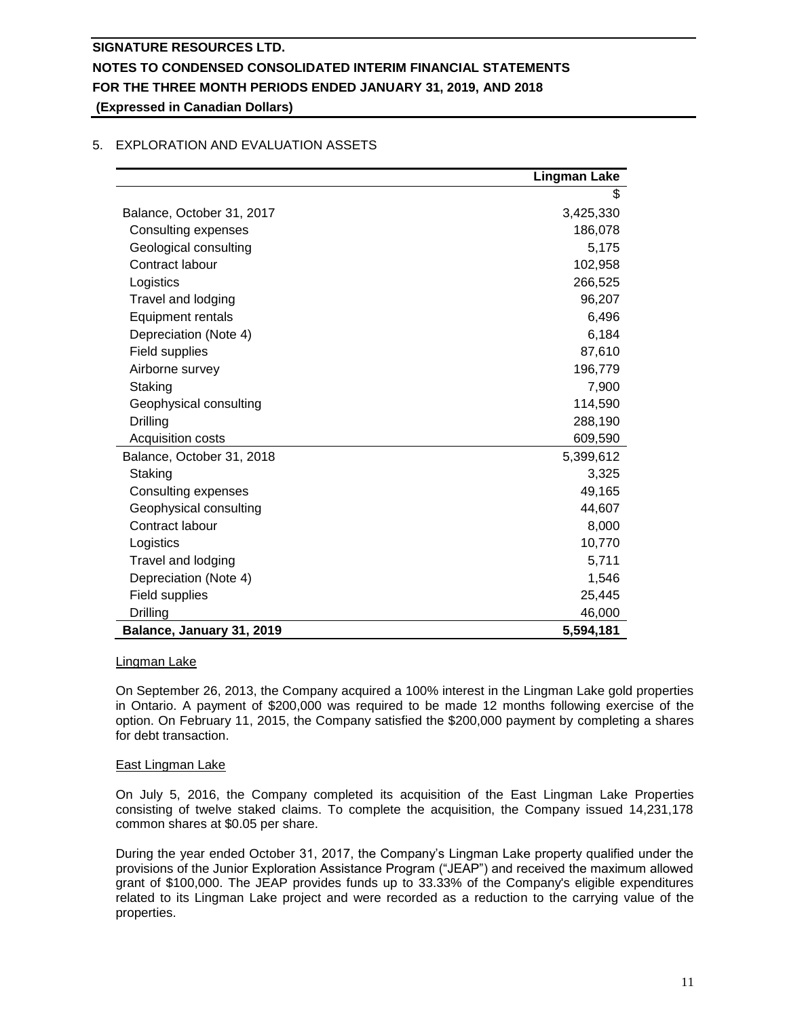## **Lingman Lake** \$ Balance, October 31, 2017 **3,425,330**  Consulting expenses 186,078 Geological consulting  $\qquad \qquad$  5,175 Contract labour 102,958 Logistics 266,525 Travel and lodging extensive properties and the set of the set of the set of the set of the set of the set of the set of the set of the set of the set of the set of the set of the set of the set of the set of the set of th Equipment rentals 6,496 Depreciation (Note 4) 6,184 Field supplies 87,610 Airborne survey 196,779 Staking 7,900 Geophysical consulting 114,590 Drilling 288,190 Acquisition costs 609,590 Balance, October 31, 2018 5,399,612 Staking 3,325 Consulting expenses 49,165 Geophysical consulting and the set of the set of the set of the 44,607 Contract labour 8,000 and 8,000 and 8,000 and 8,000 and 8,000 and 8,000 and 8,000 and 8,000 and 8,000 and 8,000 and 8,000 and 8,000 and 8,000 and 8,000 and 8,000 and 8,000 and 8,000 and 8,000 and 8,000 and 8,000 and 8,000 Logistics 10,770 Travel and lodging 5,711 Depreciation (Note 4) 1,546 Field supplies 25,445 Drilling 46,000 **Balance, January 31, 2019 5,594,181**

## 5. EXPLORATION AND EVALUATION ASSETS

### Lingman Lake

On September 26, 2013, the Company acquired a 100% interest in the Lingman Lake gold properties in Ontario. A payment of \$200,000 was required to be made 12 months following exercise of the option. On February 11, 2015, the Company satisfied the \$200,000 payment by completing a shares for debt transaction.

### East Lingman Lake

On July 5, 2016, the Company completed its acquisition of the East Lingman Lake Properties consisting of twelve staked claims. To complete the acquisition, the Company issued 14,231,178 common shares at \$0.05 per share.

During the year ended October 31, 2017, the Company's Lingman Lake property qualified under the provisions of the Junior Exploration Assistance Program ("JEAP") and received the maximum allowed grant of \$100,000. The JEAP provides funds up to 33.33% of the Company's eligible expenditures related to its Lingman Lake project and were recorded as a reduction to the carrying value of the properties.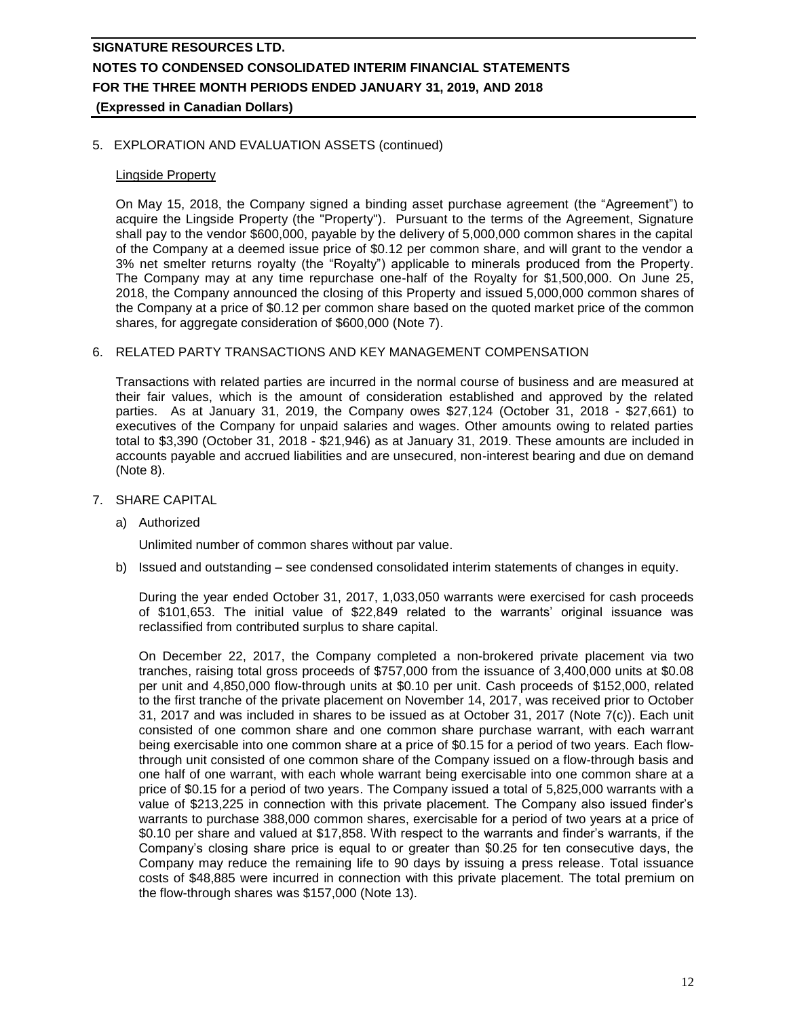### 5. EXPLORATION AND EVALUATION ASSETS (continued)

### Lingside Property

On May 15, 2018, the Company signed a binding asset purchase agreement (the "Agreement") to acquire the Lingside Property (the "Property"). Pursuant to the terms of the Agreement, Signature shall pay to the vendor \$600,000, payable by the delivery of 5,000,000 common shares in the capital of the Company at a deemed issue price of \$0.12 per common share, and will grant to the vendor a 3% net smelter returns royalty (the "Royalty") applicable to minerals produced from the Property. The Company may at any time repurchase one-half of the Royalty for \$1,500,000. On June 25, 2018, the Company announced the closing of this Property and issued 5,000,000 common shares of the Company at a price of \$0.12 per common share based on the quoted market price of the common shares, for aggregate consideration of \$600,000 (Note 7).

### 6. RELATED PARTY TRANSACTIONS AND KEY MANAGEMENT COMPENSATION

Transactions with related parties are incurred in the normal course of business and are measured at their fair values, which is the amount of consideration established and approved by the related parties. As at January 31, 2019, the Company owes \$27,124 (October 31, 2018 - \$27,661) to executives of the Company for unpaid salaries and wages. Other amounts owing to related parties total to \$3,390 (October 31, 2018 - \$21,946) as at January 31, 2019. These amounts are included in accounts payable and accrued liabilities and are unsecured, non-interest bearing and due on demand (Note 8).

- 7. SHARE CAPITAL
	- a) Authorized

Unlimited number of common shares without par value.

b) Issued and outstanding – see condensed consolidated interim statements of changes in equity.

During the year ended October 31, 2017, 1,033,050 warrants were exercised for cash proceeds of \$101,653. The initial value of \$22,849 related to the warrants' original issuance was reclassified from contributed surplus to share capital.

On December 22, 2017, the Company completed a non-brokered private placement via two tranches, raising total gross proceeds of \$757,000 from the issuance of 3,400,000 units at \$0.08 per unit and 4,850,000 flow-through units at \$0.10 per unit. Cash proceeds of \$152,000, related to the first tranche of the private placement on November 14, 2017, was received prior to October 31, 2017 and was included in shares to be issued as at October 31, 2017 (Note 7(c)). Each unit consisted of one common share and one common share purchase warrant, with each warrant being exercisable into one common share at a price of \$0.15 for a period of two years. Each flowthrough unit consisted of one common share of the Company issued on a flow-through basis and one half of one warrant, with each whole warrant being exercisable into one common share at a price of \$0.15 for a period of two years. The Company issued a total of 5,825,000 warrants with a value of \$213,225 in connection with this private placement. The Company also issued finder's warrants to purchase 388,000 common shares, exercisable for a period of two years at a price of \$0.10 per share and valued at \$17,858. With respect to the warrants and finder's warrants, if the Company's closing share price is equal to or greater than \$0.25 for ten consecutive days, the Company may reduce the remaining life to 90 days by issuing a press release. Total issuance costs of \$48,885 were incurred in connection with this private placement. The total premium on the flow-through shares was \$157,000 (Note 13).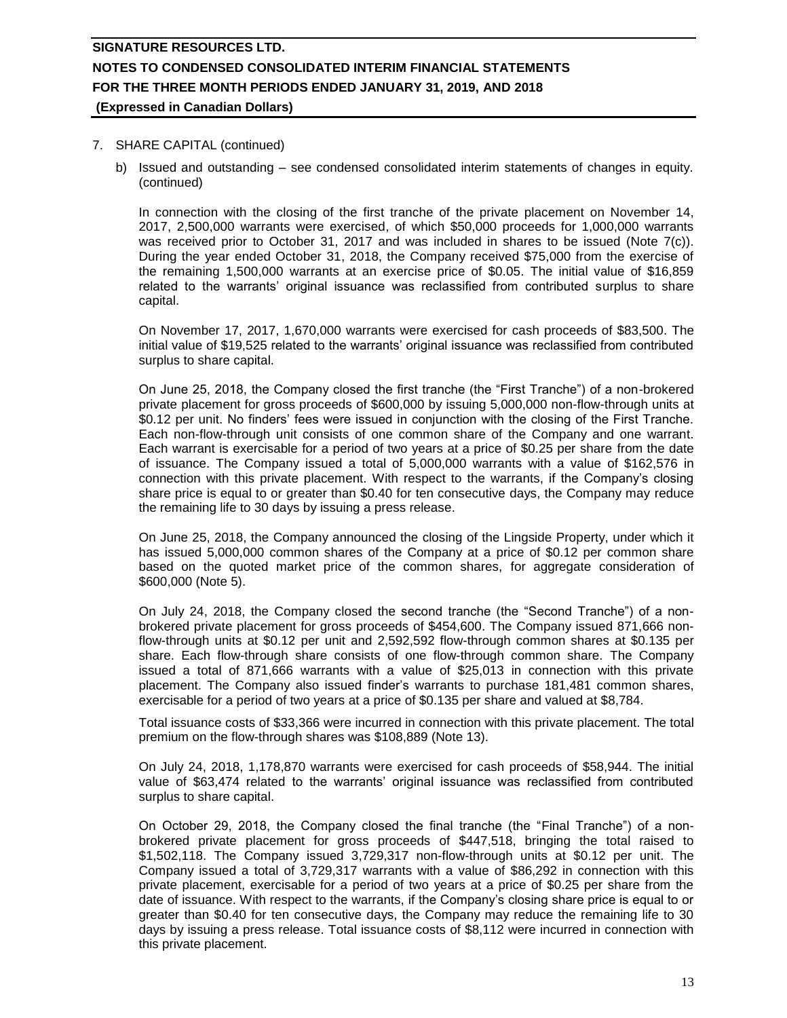### 7. SHARE CAPITAL (continued)

b) Issued and outstanding – see condensed consolidated interim statements of changes in equity. (continued)

In connection with the closing of the first tranche of the private placement on November 14, 2017, 2,500,000 warrants were exercised, of which \$50,000 proceeds for 1,000,000 warrants was received prior to October 31, 2017 and was included in shares to be issued (Note 7(c)). During the year ended October 31, 2018, the Company received \$75,000 from the exercise of the remaining 1,500,000 warrants at an exercise price of \$0.05. The initial value of \$16,859 related to the warrants' original issuance was reclassified from contributed surplus to share capital.

On November 17, 2017, 1,670,000 warrants were exercised for cash proceeds of \$83,500. The initial value of \$19,525 related to the warrants' original issuance was reclassified from contributed surplus to share capital.

On June 25, 2018, the Company closed the first tranche (the "First Tranche") of a non-brokered private placement for gross proceeds of \$600,000 by issuing 5,000,000 non-flow-through units at \$0.12 per unit. No finders' fees were issued in conjunction with the closing of the First Tranche. Each non-flow-through unit consists of one common share of the Company and one warrant. Each warrant is exercisable for a period of two years at a price of \$0.25 per share from the date of issuance. The Company issued a total of 5,000,000 warrants with a value of \$162,576 in connection with this private placement. With respect to the warrants, if the Company's closing share price is equal to or greater than \$0.40 for ten consecutive days, the Company may reduce the remaining life to 30 days by issuing a press release.

On June 25, 2018, the Company announced the closing of the Lingside Property, under which it has issued 5,000,000 common shares of the Company at a price of \$0.12 per common share based on the quoted market price of the common shares, for aggregate consideration of \$600,000 (Note 5).

On July 24, 2018, the Company closed the second tranche (the "Second Tranche") of a nonbrokered private placement for gross proceeds of \$454,600. The Company issued 871,666 nonflow-through units at \$0.12 per unit and 2,592,592 flow-through common shares at \$0.135 per share. Each flow-through share consists of one flow-through common share. The Company issued a total of 871,666 warrants with a value of \$25,013 in connection with this private placement. The Company also issued finder's warrants to purchase 181,481 common shares, exercisable for a period of two years at a price of \$0.135 per share and valued at \$8,784.

Total issuance costs of \$33,366 were incurred in connection with this private placement. The total premium on the flow-through shares was \$108,889 (Note 13).

On July 24, 2018, 1,178,870 warrants were exercised for cash proceeds of \$58,944. The initial value of \$63,474 related to the warrants' original issuance was reclassified from contributed surplus to share capital.

On October 29, 2018, the Company closed the final tranche (the "Final Tranche") of a nonbrokered private placement for gross proceeds of \$447,518, bringing the total raised to \$1,502,118. The Company issued 3,729,317 non-flow-through units at \$0.12 per unit. The Company issued a total of 3,729,317 warrants with a value of \$86,292 in connection with this private placement, exercisable for a period of two years at a price of \$0.25 per share from the date of issuance. With respect to the warrants, if the Company's closing share price is equal to or greater than \$0.40 for ten consecutive days, the Company may reduce the remaining life to 30 days by issuing a press release. Total issuance costs of \$8,112 were incurred in connection with this private placement.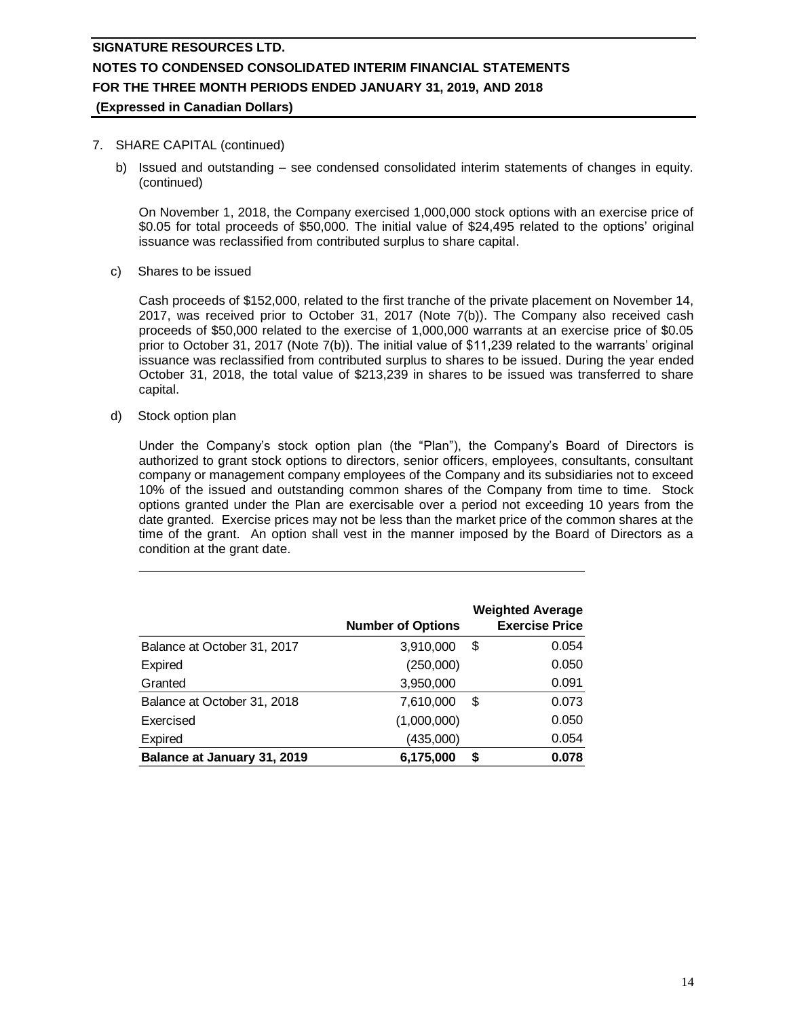# **SIGNATURE RESOURCES LTD. NOTES TO CONDENSED CONSOLIDATED INTERIM FINANCIAL STATEMENTS FOR THE THREE MONTH PERIODS ENDED JANUARY 31, 2019, AND 2018**

## **(Expressed in Canadian Dollars)**

### 7. SHARE CAPITAL (continued)

b) Issued and outstanding – see condensed consolidated interim statements of changes in equity. (continued)

On November 1, 2018, the Company exercised 1,000,000 stock options with an exercise price of \$0.05 for total proceeds of \$50,000. The initial value of \$24,495 related to the options' original issuance was reclassified from contributed surplus to share capital.

c) Shares to be issued

Cash proceeds of \$152,000, related to the first tranche of the private placement on November 14, 2017, was received prior to October 31, 2017 (Note 7(b)). The Company also received cash proceeds of \$50,000 related to the exercise of 1,000,000 warrants at an exercise price of \$0.05 prior to October 31, 2017 (Note 7(b)). The initial value of \$11,239 related to the warrants' original issuance was reclassified from contributed surplus to shares to be issued. During the year ended October 31, 2018, the total value of \$213,239 in shares to be issued was transferred to share capital.

d) Stock option plan

Under the Company's stock option plan (the "Plan"), the Company's Board of Directors is authorized to grant stock options to directors, senior officers, employees, consultants, consultant company or management company employees of the Company and its subsidiaries not to exceed 10% of the issued and outstanding common shares of the Company from time to time. Stock options granted under the Plan are exercisable over a period not exceeding 10 years from the date granted. Exercise prices may not be less than the market price of the common shares at the time of the grant. An option shall vest in the manner imposed by the Board of Directors as a condition at the grant date.

|                             | <b>Number of Options</b> | <b>Weighted Average</b><br><b>Exercise Price</b> |
|-----------------------------|--------------------------|--------------------------------------------------|
| Balance at October 31, 2017 | 3,910,000                | \$<br>0.054                                      |
| Expired                     | (250,000)                | 0.050                                            |
| Granted                     | 3,950,000                | 0.091                                            |
| Balance at October 31, 2018 | 7,610,000                | \$<br>0.073                                      |
| Exercised                   | (1,000,000)              | 0.050                                            |
| <b>Expired</b>              | (435,000)                | 0.054                                            |
| Balance at January 31, 2019 | 6,175,000                | \$<br>0.078                                      |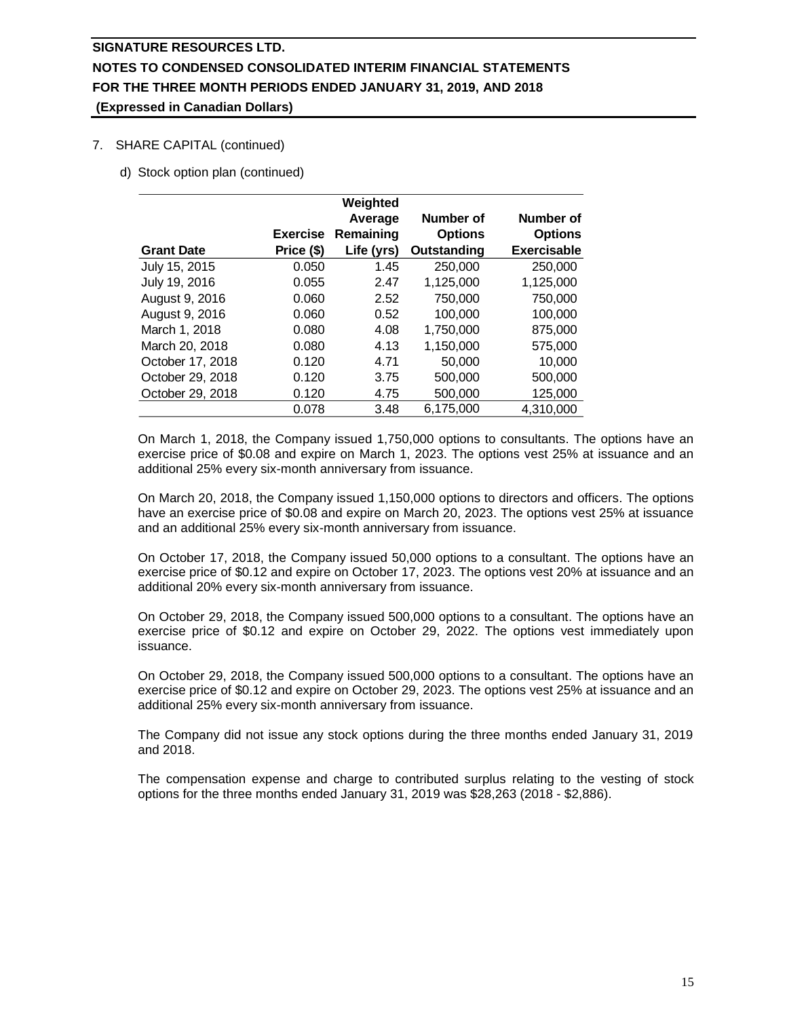## 7. SHARE CAPITAL (continued)

d) Stock option plan (continued)

|                   |                 | Weighted   |                |                    |
|-------------------|-----------------|------------|----------------|--------------------|
|                   |                 | Average    | Number of      | Number of          |
|                   | <b>Exercise</b> | Remaining  | <b>Options</b> | <b>Options</b>     |
| <b>Grant Date</b> | Price (\$)      | Life (yrs) | Outstanding    | <b>Exercisable</b> |
| July 15, 2015     | 0.050           | 1.45       | 250,000        | 250,000            |
| July 19, 2016     | 0.055           | 2.47       | 1,125,000      | 1,125,000          |
| August 9, 2016    | 0.060           | 2.52       | 750,000        | 750,000            |
| August 9, 2016    | 0.060           | 0.52       | 100.000        | 100.000            |
| March 1, 2018     | 0.080           | 4.08       | 1,750,000      | 875,000            |
| March 20, 2018    | 0.080           | 4.13       | 1,150,000      | 575,000            |
| October 17, 2018  | 0.120           | 4.71       | 50,000         | 10.000             |
| October 29, 2018  | 0.120           | 3.75       | 500,000        | 500,000            |
| October 29, 2018  | 0.120           | 4.75       | 500,000        | 125,000            |
|                   | 0.078           | 3.48       | 6,175,000      | 4,310,000          |

On March 1, 2018, the Company issued 1,750,000 options to consultants. The options have an exercise price of \$0.08 and expire on March 1, 2023. The options vest 25% at issuance and an additional 25% every six-month anniversary from issuance.

On March 20, 2018, the Company issued 1,150,000 options to directors and officers. The options have an exercise price of \$0.08 and expire on March 20, 2023. The options vest 25% at issuance and an additional 25% every six-month anniversary from issuance.

On October 17, 2018, the Company issued 50,000 options to a consultant. The options have an exercise price of \$0.12 and expire on October 17, 2023. The options vest 20% at issuance and an additional 20% every six-month anniversary from issuance.

On October 29, 2018, the Company issued 500,000 options to a consultant. The options have an exercise price of \$0.12 and expire on October 29, 2022. The options vest immediately upon issuance.

On October 29, 2018, the Company issued 500,000 options to a consultant. The options have an exercise price of \$0.12 and expire on October 29, 2023. The options vest 25% at issuance and an additional 25% every six-month anniversary from issuance.

The Company did not issue any stock options during the three months ended January 31, 2019 and 2018.

The compensation expense and charge to contributed surplus relating to the vesting of stock options for the three months ended January 31, 2019 was \$28,263 (2018 - \$2,886).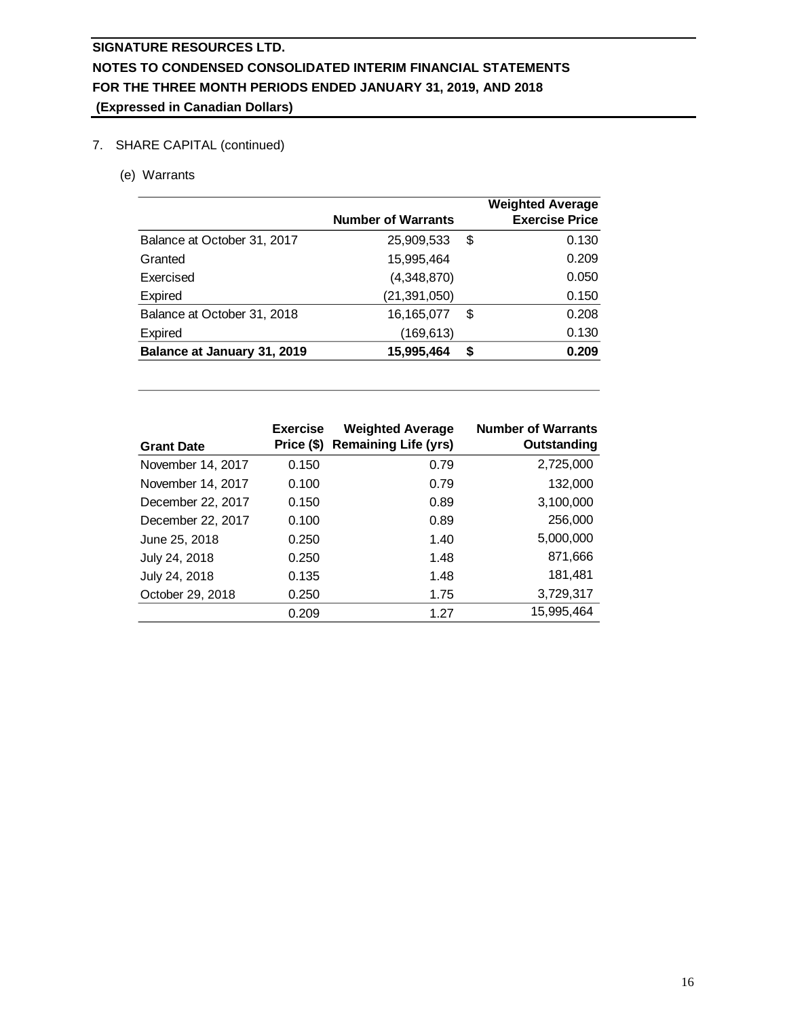# 7. SHARE CAPITAL (continued)

(e) Warrants

|                             | <b>Number of Warrants</b> |    | <b>Weighted Average</b><br><b>Exercise Price</b> |
|-----------------------------|---------------------------|----|--------------------------------------------------|
| Balance at October 31, 2017 | 25,909,533                | \$ | 0.130                                            |
| Granted                     | 15,995,464                |    | 0.209                                            |
| Exercised                   | (4,348,870)               |    | 0.050                                            |
| Expired                     | (21, 391, 050)            |    | 0.150                                            |
| Balance at October 31, 2018 | 16,165,077                | S  | 0.208                                            |
| Expired                     | (169, 613)                |    | 0.130                                            |
| Balance at January 31, 2019 | 15,995,464                | S  | 0.209                                            |

| <b>Grant Date</b> | <b>Exercise</b><br>Price (\$) | <b>Weighted Average</b><br><b>Remaining Life (yrs)</b> | <b>Number of Warrants</b><br>Outstanding |
|-------------------|-------------------------------|--------------------------------------------------------|------------------------------------------|
| November 14, 2017 | 0.150                         | 0.79                                                   | 2,725,000                                |
| November 14, 2017 | 0.100                         | 0.79                                                   | 132,000                                  |
| December 22, 2017 | 0.150                         | 0.89                                                   | 3,100,000                                |
| December 22, 2017 | 0.100                         | 0.89                                                   | 256,000                                  |
| June 25, 2018     | 0.250                         | 1.40                                                   | 5,000,000                                |
| July 24, 2018     | 0.250                         | 1.48                                                   | 871,666                                  |
| July 24, 2018     | 0.135                         | 1.48                                                   | 181,481                                  |
| October 29, 2018  | 0.250                         | 1.75                                                   | 3,729,317                                |
|                   | 0.209                         | 1.27                                                   | 15,995,464                               |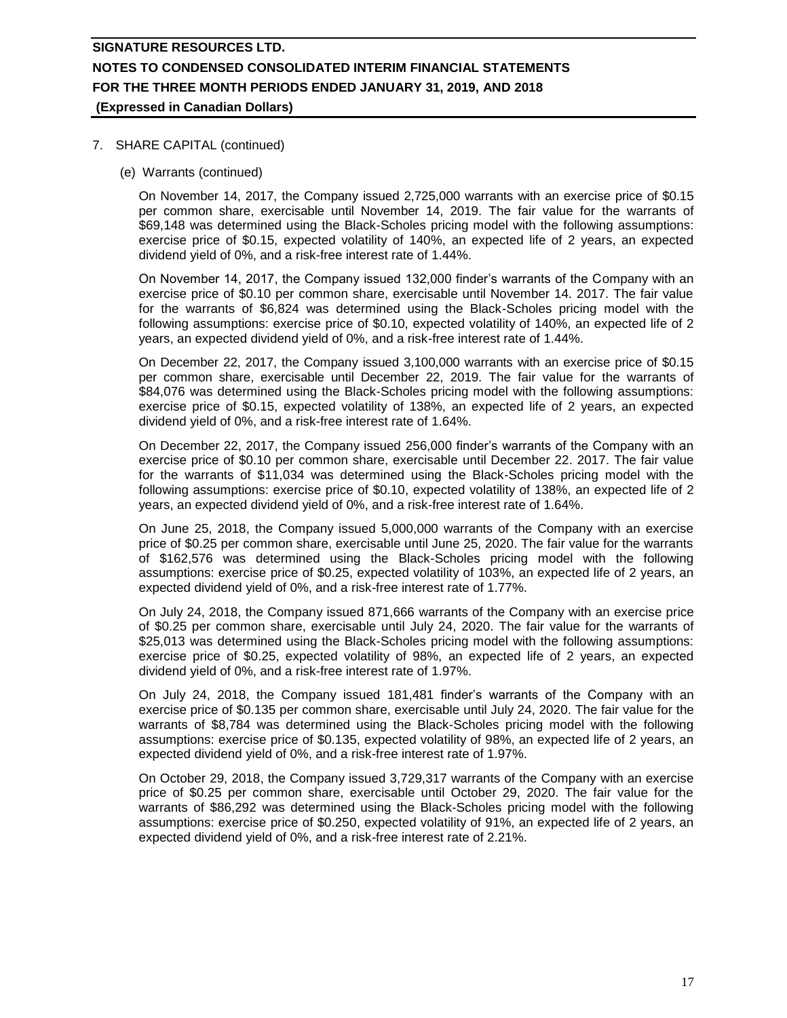### 7. SHARE CAPITAL (continued)

(e) Warrants (continued)

On November 14, 2017, the Company issued 2,725,000 warrants with an exercise price of \$0.15 per common share, exercisable until November 14, 2019. The fair value for the warrants of \$69,148 was determined using the Black-Scholes pricing model with the following assumptions: exercise price of \$0.15, expected volatility of 140%, an expected life of 2 years, an expected dividend yield of 0%, and a risk-free interest rate of 1.44%.

On November 14, 2017, the Company issued 132,000 finder's warrants of the Company with an exercise price of \$0.10 per common share, exercisable until November 14. 2017. The fair value for the warrants of \$6,824 was determined using the Black-Scholes pricing model with the following assumptions: exercise price of \$0.10, expected volatility of 140%, an expected life of 2 years, an expected dividend yield of 0%, and a risk-free interest rate of 1.44%.

On December 22, 2017, the Company issued 3,100,000 warrants with an exercise price of \$0.15 per common share, exercisable until December 22, 2019. The fair value for the warrants of \$84,076 was determined using the Black-Scholes pricing model with the following assumptions: exercise price of \$0.15, expected volatility of 138%, an expected life of 2 years, an expected dividend yield of 0%, and a risk-free interest rate of 1.64%.

On December 22, 2017, the Company issued 256,000 finder's warrants of the Company with an exercise price of \$0.10 per common share, exercisable until December 22. 2017. The fair value for the warrants of \$11,034 was determined using the Black-Scholes pricing model with the following assumptions: exercise price of \$0.10, expected volatility of 138%, an expected life of 2 years, an expected dividend yield of 0%, and a risk-free interest rate of 1.64%.

On June 25, 2018, the Company issued 5,000,000 warrants of the Company with an exercise price of \$0.25 per common share, exercisable until June 25, 2020. The fair value for the warrants of \$162,576 was determined using the Black-Scholes pricing model with the following assumptions: exercise price of \$0.25, expected volatility of 103%, an expected life of 2 years, an expected dividend yield of 0%, and a risk-free interest rate of 1.77%.

On July 24, 2018, the Company issued 871,666 warrants of the Company with an exercise price of \$0.25 per common share, exercisable until July 24, 2020. The fair value for the warrants of \$25,013 was determined using the Black-Scholes pricing model with the following assumptions: exercise price of \$0.25, expected volatility of 98%, an expected life of 2 years, an expected dividend yield of 0%, and a risk-free interest rate of 1.97%.

On July 24, 2018, the Company issued 181,481 finder's warrants of the Company with an exercise price of \$0.135 per common share, exercisable until July 24, 2020. The fair value for the warrants of \$8,784 was determined using the Black-Scholes pricing model with the following assumptions: exercise price of \$0.135, expected volatility of 98%, an expected life of 2 years, an expected dividend yield of 0%, and a risk-free interest rate of 1.97%.

On October 29, 2018, the Company issued 3,729,317 warrants of the Company with an exercise price of \$0.25 per common share, exercisable until October 29, 2020. The fair value for the warrants of \$86,292 was determined using the Black-Scholes pricing model with the following assumptions: exercise price of \$0.250, expected volatility of 91%, an expected life of 2 years, an expected dividend yield of 0%, and a risk-free interest rate of 2.21%.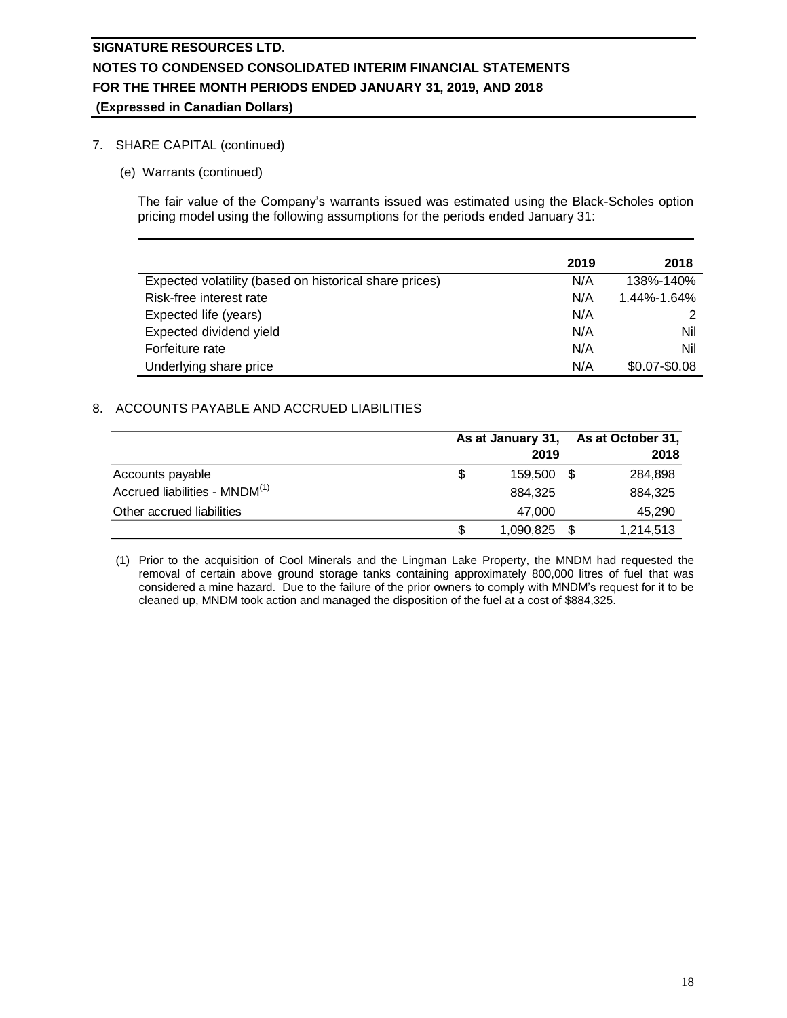## 7. SHARE CAPITAL (continued)

(e) Warrants (continued)

The fair value of the Company's warrants issued was estimated using the Black-Scholes option pricing model using the following assumptions for the periods ended January 31:

|                                                        | 2019 | 2018            |
|--------------------------------------------------------|------|-----------------|
| Expected volatility (based on historical share prices) | N/A  | 138%-140%       |
| Risk-free interest rate                                | N/A  | 1.44%-1.64%     |
| Expected life (years)                                  | N/A  | 2               |
| Expected dividend yield                                | N/A  | Nil             |
| Forfeiture rate                                        | N/A  | Nil             |
| Underlying share price                                 | N/A  | $$0.07 - $0.08$ |

## 8. ACCOUNTS PAYABLE AND ACCRUED LIABILITIES

|                                           |     | As at January 31.<br>2019 |  | As at October 31,<br>2018 |
|-------------------------------------------|-----|---------------------------|--|---------------------------|
| Accounts payable                          | \$. | 159,500 \$                |  | 284,898                   |
| Accrued liabilities - MNDM <sup>(1)</sup> |     | 884.325                   |  | 884.325                   |
| Other accrued liabilities                 |     | 47.000                    |  | 45,290                    |
|                                           | \$  | 1,090,825 \$              |  | 1,214,513                 |

(1) Prior to the acquisition of Cool Minerals and the Lingman Lake Property, the MNDM had requested the removal of certain above ground storage tanks containing approximately 800,000 litres of fuel that was considered a mine hazard. Due to the failure of the prior owners to comply with MNDM's request for it to be cleaned up, MNDM took action and managed the disposition of the fuel at a cost of \$884,325.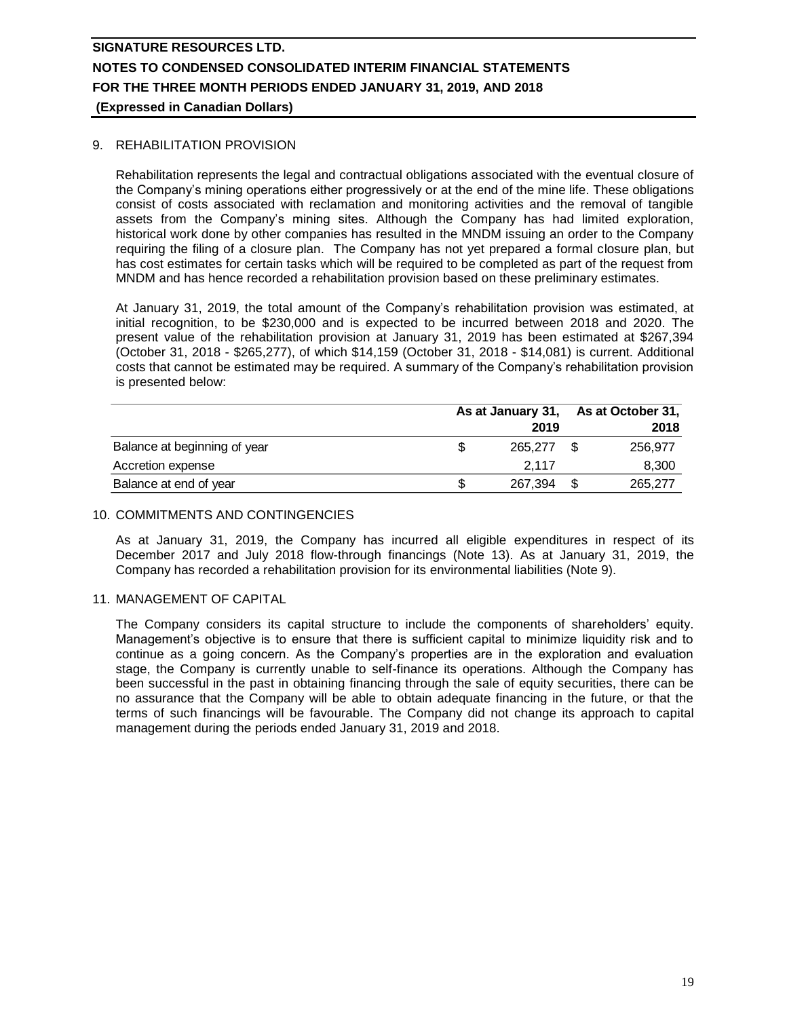### 9. REHABILITATION PROVISION

Rehabilitation represents the legal and contractual obligations associated with the eventual closure of the Company's mining operations either progressively or at the end of the mine life. These obligations consist of costs associated with reclamation and monitoring activities and the removal of tangible assets from the Company's mining sites. Although the Company has had limited exploration, historical work done by other companies has resulted in the MNDM issuing an order to the Company requiring the filing of a closure plan. The Company has not yet prepared a formal closure plan, but has cost estimates for certain tasks which will be required to be completed as part of the request from MNDM and has hence recorded a rehabilitation provision based on these preliminary estimates.

At January 31, 2019, the total amount of the Company's rehabilitation provision was estimated, at initial recognition, to be \$230,000 and is expected to be incurred between 2018 and 2020. The present value of the rehabilitation provision at January 31, 2019 has been estimated at \$267,394 (October 31, 2018 - \$265,277), of which \$14,159 (October 31, 2018 - \$14,081) is current. Additional costs that cannot be estimated may be required. A summary of the Company's rehabilitation provision is presented below:

|                              |  | 2019    |  | As at January 31, As at October 31,<br>2018 |  |
|------------------------------|--|---------|--|---------------------------------------------|--|
| Balance at beginning of year |  | 265.277 |  | 256.977                                     |  |
| Accretion expense            |  | 2.117   |  | 8,300                                       |  |
| Balance at end of year       |  | 267.394 |  | 265,277                                     |  |

### 10. COMMITMENTS AND CONTINGENCIES

As at January 31, 2019, the Company has incurred all eligible expenditures in respect of its December 2017 and July 2018 flow-through financings (Note 13). As at January 31, 2019, the Company has recorded a rehabilitation provision for its environmental liabilities (Note 9).

### 11. MANAGEMENT OF CAPITAL

The Company considers its capital structure to include the components of shareholders' equity. Management's objective is to ensure that there is sufficient capital to minimize liquidity risk and to continue as a going concern. As the Company's properties are in the exploration and evaluation stage, the Company is currently unable to self-finance its operations. Although the Company has been successful in the past in obtaining financing through the sale of equity securities, there can be no assurance that the Company will be able to obtain adequate financing in the future, or that the terms of such financings will be favourable. The Company did not change its approach to capital management during the periods ended January 31, 2019 and 2018.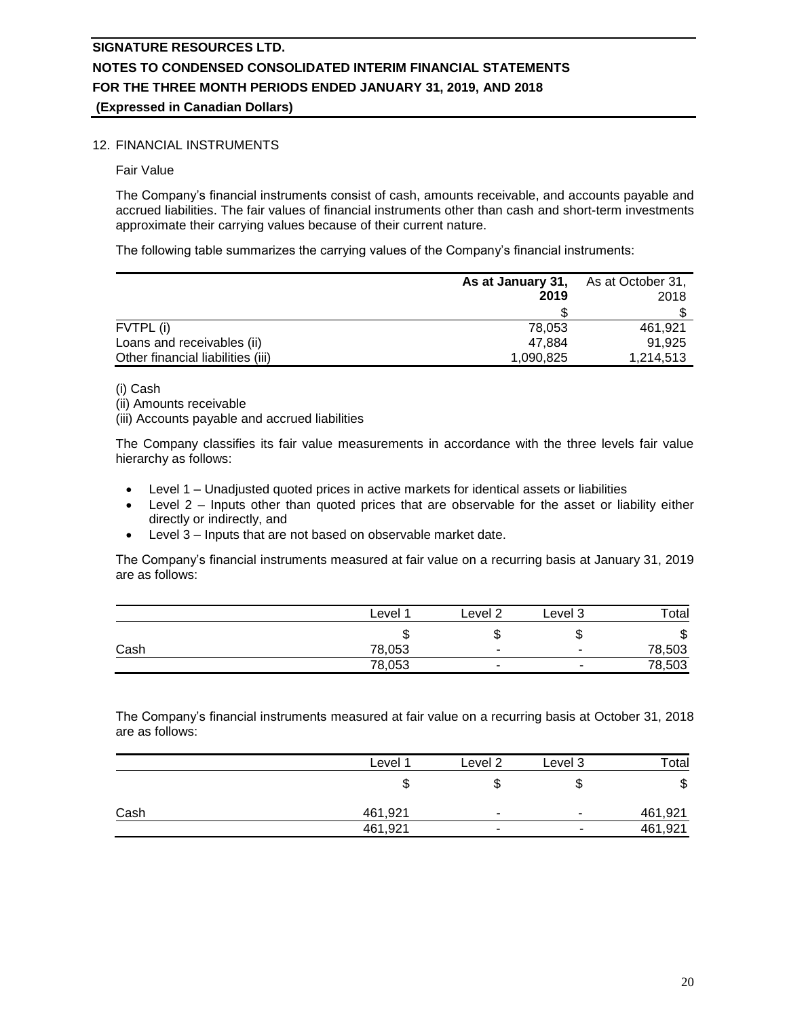## 12. FINANCIAL INSTRUMENTS

Fair Value

The Company's financial instruments consist of cash, amounts receivable, and accounts payable and accrued liabilities. The fair values of financial instruments other than cash and short-term investments approximate their carrying values because of their current nature.

The following table summarizes the carrying values of the Company's financial instruments:

|                                   | As at January 31,<br>2019 | As at October 31,<br>2018 |  |
|-----------------------------------|---------------------------|---------------------------|--|
|                                   |                           |                           |  |
| FVTPL (i)                         | 78.053                    | 461.921                   |  |
| Loans and receivables (ii)        | 47.884                    | 91.925                    |  |
| Other financial liabilities (iii) | 1,090,825                 | 1,214,513                 |  |

(i) Cash

(ii) Amounts receivable

(iii) Accounts payable and accrued liabilities

The Company classifies its fair value measurements in accordance with the three levels fair value hierarchy as follows:

- Level 1 Unadjusted quoted prices in active markets for identical assets or liabilities
- Level 2 Inputs other than quoted prices that are observable for the asset or liability either directly or indirectly, and
- Level 3 Inputs that are not based on observable market date.

The Company's financial instruments measured at fair value on a recurring basis at January 31, 2019 are as follows:

|      | Level  | Level 7                  | Level 3                  | Гоtal  |
|------|--------|--------------------------|--------------------------|--------|
|      | w      |                          | w                        | ጥ<br>Φ |
| Cash | 78,053 |                          | $\overline{\phantom{a}}$ | 78,503 |
|      | 78,053 | $\overline{\phantom{a}}$ | -                        | 78,503 |

The Company's financial instruments measured at fair value on a recurring basis at October 31, 2018 are as follows:

|      | Level 1 | Level 2                  | Level 3 | <b>Total</b> |
|------|---------|--------------------------|---------|--------------|
|      | J       | ۱IJ                      | จ       | \$           |
| Cash | 461,921 | $\overline{\phantom{0}}$ | ۰       | 461,921      |
|      | 461,921 | -                        |         | 461,921      |